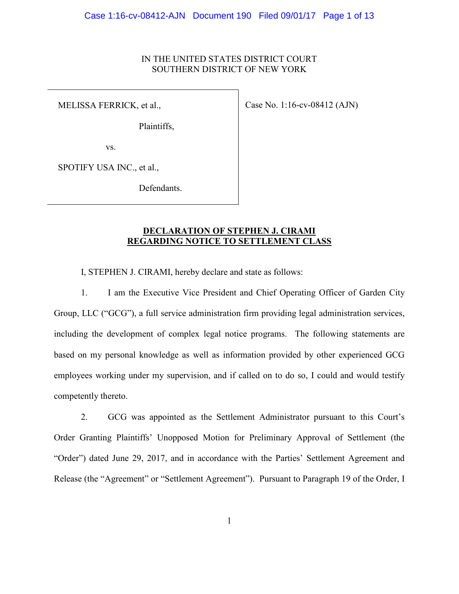# IN THE UNITED STATES DISTRICT COURT SOUTHERN DISTRICT OF NEW YORK

MELISSA FERRICK, et al.,

Case No. 1:16-cv-08412 (AJN)

Plaintiffs,

vs.

SPOTIFY USA INC., et al.,

Defendants.

## **DECLARATION OF STEPHEN J. CIRAMI REGARDING NOTICE TO SETTLEMENT CLASS**

I, STEPHEN J. CIRAMI, hereby declare and state as follows:

1. I am the Executive Vice President and Chief Operating Officer of Garden City Group, LLC ("GCG"), a full service administration firm providing legal administration services, including the development of complex legal notice programs. The following statements are based on my personal knowledge as well as information provided by other experienced GCG employees working under my supervision, and if called on to do so, I could and would testify competently thereto.

2. GCG was appointed as the Settlement Administrator pursuant to this Court's Order Granting Plaintiffs' Unopposed Motion for Preliminary Approval of Settlement (the "Order") dated June 29, 2017, and in accordance with the Parties' Settlement Agreement and Release (the "Agreement" or "Settlement Agreement"). Pursuant to Paragraph 19 of the Order, I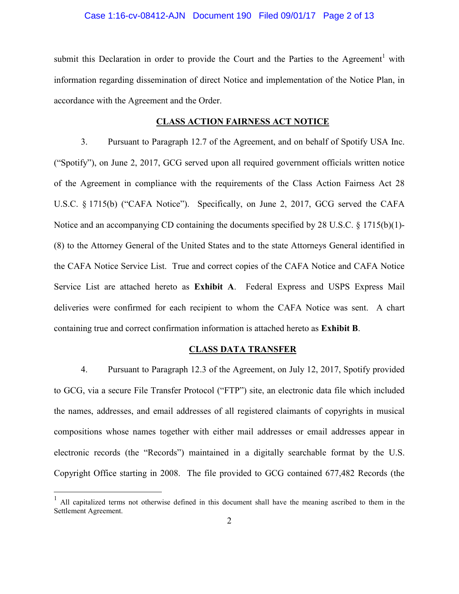#### Case 1:16-cv-08412-AJN Document 190 Filed 09/01/17 Page 2 of 13

submit this Declaration in order to provide the Court and the Parties to the Agreement<sup>1</sup> with information regarding dissemination of direct Notice and implementation of the Notice Plan, in accordance with the Agreement and the Order.

#### **CLASS ACTION FAIRNESS ACT NOTICE**

3. Pursuant to Paragraph 12.7 of the Agreement, and on behalf of Spotify USA Inc. ("Spotify"), on June 2, 2017, GCG served upon all required government officials written notice of the Agreement in compliance with the requirements of the Class Action Fairness Act 28 U.S.C. § 1715(b) ("CAFA Notice"). Specifically, on June 2, 2017, GCG served the CAFA Notice and an accompanying CD containing the documents specified by 28 U.S.C. § 1715(b)(1)- (8) to the Attorney General of the United States and to the state Attorneys General identified in the CAFA Notice Service List. True and correct copies of the CAFA Notice and CAFA Notice Service List are attached hereto as **Exhibit A**. Federal Express and USPS Express Mail deliveries were confirmed for each recipient to whom the CAFA Notice was sent. A chart containing true and correct confirmation information is attached hereto as **Exhibit B**.

#### **CLASS DATA TRANSFER**

4. Pursuant to Paragraph 12.3 of the Agreement, on July 12, 2017, Spotify provided to GCG, via a secure File Transfer Protocol ("FTP") site, an electronic data file which included the names, addresses, and email addresses of all registered claimants of copyrights in musical compositions whose names together with either mail addresses or email addresses appear in electronic records (the "Records") maintained in a digitally searchable format by the U.S. Copyright Office starting in 2008. The file provided to GCG contained 677,482 Records (the

<u>.</u>

<sup>&</sup>lt;sup>1</sup> All capitalized terms not otherwise defined in this document shall have the meaning ascribed to them in the Settlement Agreement.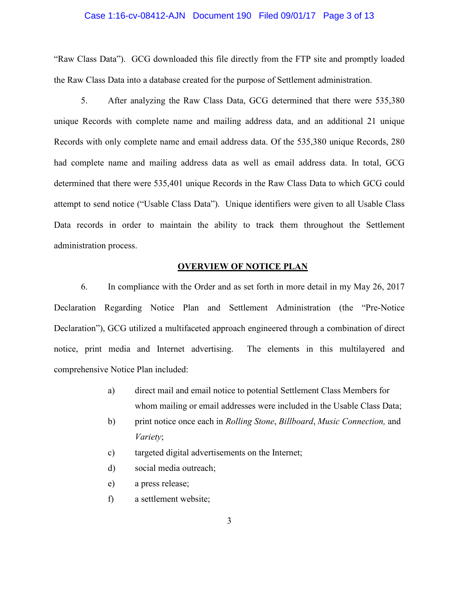#### Case 1:16-cv-08412-AJN Document 190 Filed 09/01/17 Page 3 of 13

"Raw Class Data"). GCG downloaded this file directly from the FTP site and promptly loaded the Raw Class Data into a database created for the purpose of Settlement administration.

5. After analyzing the Raw Class Data, GCG determined that there were 535,380 unique Records with complete name and mailing address data, and an additional 21 unique Records with only complete name and email address data. Of the 535,380 unique Records, 280 had complete name and mailing address data as well as email address data. In total, GCG determined that there were 535,401 unique Records in the Raw Class Data to which GCG could attempt to send notice ("Usable Class Data"). Unique identifiers were given to all Usable Class Data records in order to maintain the ability to track them throughout the Settlement administration process.

### **OVERVIEW OF NOTICE PLAN**

6. In compliance with the Order and as set forth in more detail in my May 26, 2017 Declaration Regarding Notice Plan and Settlement Administration (the "Pre-Notice Declaration"), GCG utilized a multifaceted approach engineered through a combination of direct notice, print media and Internet advertising. The elements in this multilayered and comprehensive Notice Plan included:

- a) direct mail and email notice to potential Settlement Class Members for whom mailing or email addresses were included in the Usable Class Data;
- b) print notice once each in *Rolling Stone*, *Billboard*, *Music Connection,* and *Variety*;
- c) targeted digital advertisements on the Internet;
- d) social media outreach;
- e) a press release;
- f) a settlement website;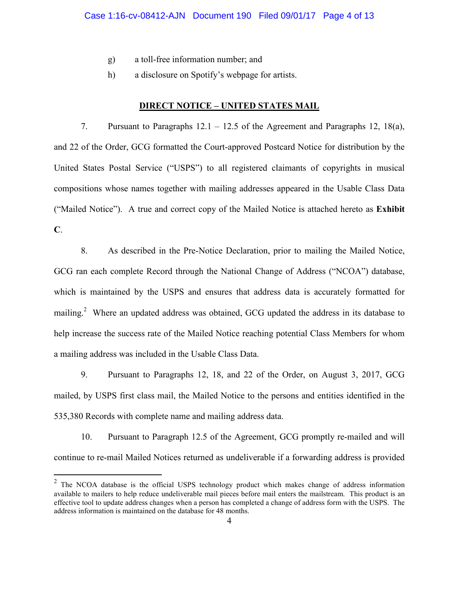- g) a toll-free information number; and
- h) a disclosure on Spotify's webpage for artists.

#### **DIRECT NOTICE – UNITED STATES MAIL**

7. Pursuant to Paragraphs 12.1 – 12.5 of the Agreement and Paragraphs 12, 18(a), and 22 of the Order, GCG formatted the Court-approved Postcard Notice for distribution by the United States Postal Service ("USPS") to all registered claimants of copyrights in musical compositions whose names together with mailing addresses appeared in the Usable Class Data ("Mailed Notice"). A true and correct copy of the Mailed Notice is attached hereto as **Exhibit C**.

8. As described in the Pre-Notice Declaration, prior to mailing the Mailed Notice, GCG ran each complete Record through the National Change of Address ("NCOA") database, which is maintained by the USPS and ensures that address data is accurately formatted for mailing.<sup>2</sup> Where an updated address was obtained, GCG updated the address in its database to help increase the success rate of the Mailed Notice reaching potential Class Members for whom a mailing address was included in the Usable Class Data.

9. Pursuant to Paragraphs 12, 18, and 22 of the Order, on August 3, 2017, GCG mailed, by USPS first class mail, the Mailed Notice to the persons and entities identified in the 535,380 Records with complete name and mailing address data.

10. Pursuant to Paragraph 12.5 of the Agreement, GCG promptly re-mailed and will continue to re-mail Mailed Notices returned as undeliverable if a forwarding address is provided

<sup>&</sup>lt;sup>2</sup> The NCOA database is the official USPS technology product which makes change of address information available to mailers to help reduce undeliverable mail pieces before mail enters the mailstream. This product is an effective tool to update address changes when a person has completed a change of address form with the USPS. The address information is maintained on the database for 48 months.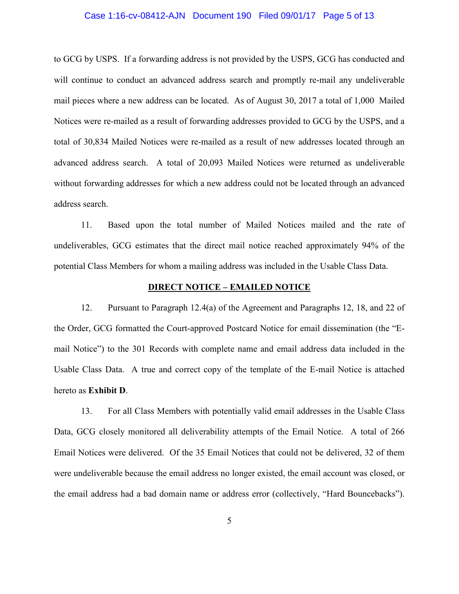#### Case 1:16-cv-08412-AJN Document 190 Filed 09/01/17 Page 5 of 13

to GCG by USPS. If a forwarding address is not provided by the USPS, GCG has conducted and will continue to conduct an advanced address search and promptly re-mail any undeliverable mail pieces where a new address can be located. As of August 30, 2017 a total of 1,000 Mailed Notices were re-mailed as a result of forwarding addresses provided to GCG by the USPS, and a total of 30,834 Mailed Notices were re-mailed as a result of new addresses located through an advanced address search. A total of 20,093 Mailed Notices were returned as undeliverable without forwarding addresses for which a new address could not be located through an advanced address search.

11. Based upon the total number of Mailed Notices mailed and the rate of undeliverables, GCG estimates that the direct mail notice reached approximately 94% of the potential Class Members for whom a mailing address was included in the Usable Class Data.

#### **DIRECT NOTICE – EMAILED NOTICE**

12. Pursuant to Paragraph 12.4(a) of the Agreement and Paragraphs 12, 18, and 22 of the Order, GCG formatted the Court-approved Postcard Notice for email dissemination (the "Email Notice") to the 301 Records with complete name and email address data included in the Usable Class Data. A true and correct copy of the template of the E-mail Notice is attached hereto as **Exhibit D**.

13. For all Class Members with potentially valid email addresses in the Usable Class Data, GCG closely monitored all deliverability attempts of the Email Notice. A total of 266 Email Notices were delivered. Of the 35 Email Notices that could not be delivered, 32 of them were undeliverable because the email address no longer existed, the email account was closed, or the email address had a bad domain name or address error (collectively, "Hard Bouncebacks").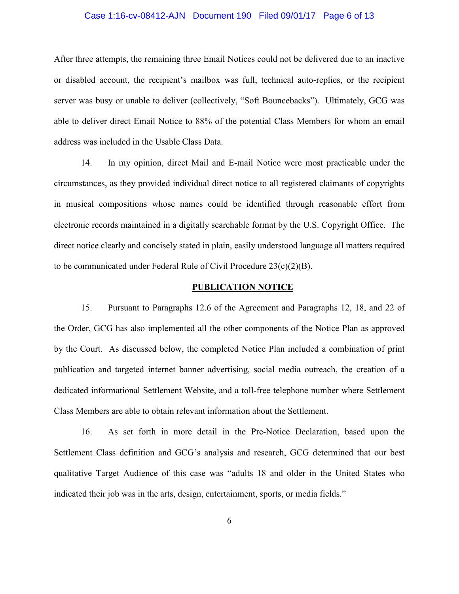#### Case 1:16-cv-08412-AJN Document 190 Filed 09/01/17 Page 6 of 13

After three attempts, the remaining three Email Notices could not be delivered due to an inactive or disabled account, the recipient's mailbox was full, technical auto-replies, or the recipient server was busy or unable to deliver (collectively, "Soft Bouncebacks"). Ultimately, GCG was able to deliver direct Email Notice to 88% of the potential Class Members for whom an email address was included in the Usable Class Data.

14. In my opinion, direct Mail and E-mail Notice were most practicable under the circumstances, as they provided individual direct notice to all registered claimants of copyrights in musical compositions whose names could be identified through reasonable effort from electronic records maintained in a digitally searchable format by the U.S. Copyright Office. The direct notice clearly and concisely stated in plain, easily understood language all matters required to be communicated under Federal Rule of Civil Procedure 23(c)(2)(B).

### **PUBLICATION NOTICE**

15. Pursuant to Paragraphs 12.6 of the Agreement and Paragraphs 12, 18, and 22 of the Order, GCG has also implemented all the other components of the Notice Plan as approved by the Court. As discussed below, the completed Notice Plan included a combination of print publication and targeted internet banner advertising, social media outreach, the creation of a dedicated informational Settlement Website, and a toll-free telephone number where Settlement Class Members are able to obtain relevant information about the Settlement.

16. As set forth in more detail in the Pre-Notice Declaration, based upon the Settlement Class definition and GCG's analysis and research, GCG determined that our best qualitative Target Audience of this case was "adults 18 and older in the United States who indicated their job was in the arts, design, entertainment, sports, or media fields."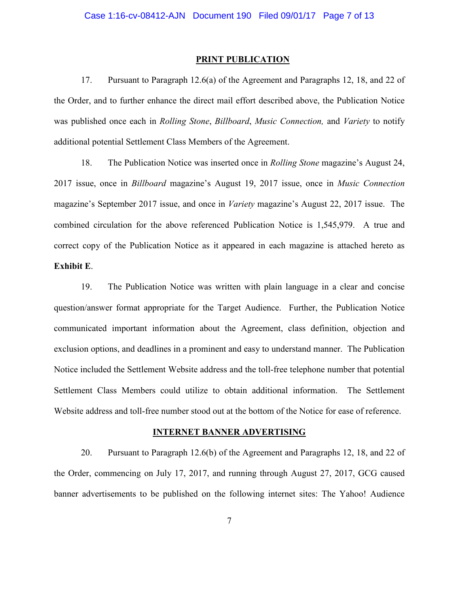#### **PRINT PUBLICATION**

17. Pursuant to Paragraph 12.6(a) of the Agreement and Paragraphs 12, 18, and 22 of the Order, and to further enhance the direct mail effort described above, the Publication Notice was published once each in *Rolling Stone*, *Billboard*, *Music Connection,* and *Variety* to notify additional potential Settlement Class Members of the Agreement.

18. The Publication Notice was inserted once in *Rolling Stone* magazine's August 24, 2017 issue, once in *Billboard* magazine's August 19, 2017 issue, once in *Music Connection*  magazine's September 2017 issue, and once in *Variety* magazine's August 22, 2017 issue. The combined circulation for the above referenced Publication Notice is 1,545,979. A true and correct copy of the Publication Notice as it appeared in each magazine is attached hereto as **Exhibit E**.

19. The Publication Notice was written with plain language in a clear and concise question/answer format appropriate for the Target Audience. Further, the Publication Notice communicated important information about the Agreement, class definition, objection and exclusion options, and deadlines in a prominent and easy to understand manner. The Publication Notice included the Settlement Website address and the toll-free telephone number that potential Settlement Class Members could utilize to obtain additional information. The Settlement Website address and toll-free number stood out at the bottom of the Notice for ease of reference.

#### **INTERNET BANNER ADVERTISING**

20. Pursuant to Paragraph 12.6(b) of the Agreement and Paragraphs 12, 18, and 22 of the Order, commencing on July 17, 2017, and running through August 27, 2017, GCG caused banner advertisements to be published on the following internet sites: The Yahoo! Audience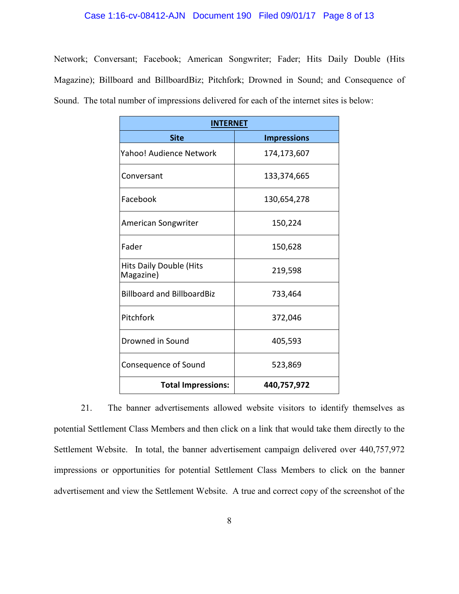#### Case 1:16-cv-08412-AJN Document 190 Filed 09/01/17 Page 8 of 13

Network; Conversant; Facebook; American Songwriter; Fader; Hits Daily Double (Hits Magazine); Billboard and BillboardBiz; Pitchfork; Drowned in Sound; and Consequence of Sound. The total number of impressions delivered for each of the internet sites is below:

| <b>INTERNET</b>                             |                    |
|---------------------------------------------|--------------------|
| <b>Site</b>                                 | <b>Impressions</b> |
| Yahoo! Audience Network                     | 174,173,607        |
| Conversant                                  | 133,374,665        |
| Facebook                                    | 130,654,278        |
| American Songwriter                         | 150,224            |
| Fader                                       | 150,628            |
| <b>Hits Daily Double (Hits</b><br>Magazine) | 219,598            |
| <b>Billboard and BillboardBiz</b>           | 733,464            |
| Pitchfork                                   | 372,046            |
| Drowned in Sound                            | 405,593            |
| Consequence of Sound                        | 523,869            |
| <b>Total Impressions:</b>                   | 440,757,972        |

21. The banner advertisements allowed website visitors to identify themselves as potential Settlement Class Members and then click on a link that would take them directly to the Settlement Website. In total, the banner advertisement campaign delivered over 440,757,972 impressions or opportunities for potential Settlement Class Members to click on the banner advertisement and view the Settlement Website. A true and correct copy of the screenshot of the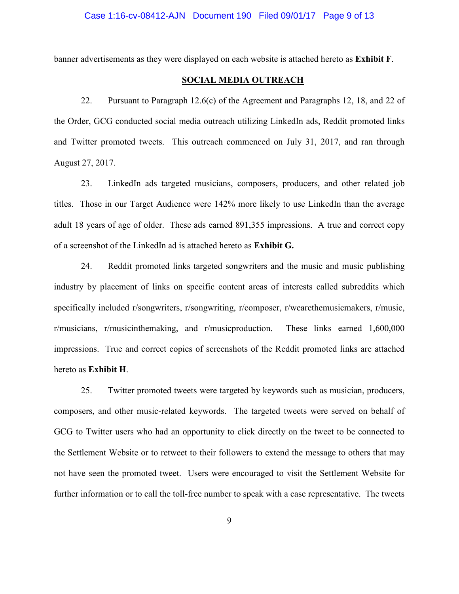banner advertisements as they were displayed on each website is attached hereto as **Exhibit F**.

### **SOCIAL MEDIA OUTREACH**

22. Pursuant to Paragraph 12.6(c) of the Agreement and Paragraphs 12, 18, and 22 of the Order, GCG conducted social media outreach utilizing LinkedIn ads, Reddit promoted links and Twitter promoted tweets. This outreach commenced on July 31, 2017, and ran through August 27, 2017.

23. LinkedIn ads targeted musicians, composers, producers, and other related job titles. Those in our Target Audience were 142% more likely to use LinkedIn than the average adult 18 years of age of older. These ads earned 891,355 impressions. A true and correct copy of a screenshot of the LinkedIn ad is attached hereto as **Exhibit G.**

24. Reddit promoted links targeted songwriters and the music and music publishing industry by placement of links on specific content areas of interests called subreddits which specifically included r/songwriters, r/songwriting, r/composer, r/wearethemusicmakers, r/music, r/musicians, r/musicinthemaking, and r/musicproduction. These links earned 1,600,000 impressions. True and correct copies of screenshots of the Reddit promoted links are attached hereto as **Exhibit H**.

25. Twitter promoted tweets were targeted by keywords such as musician, producers, composers, and other music-related keywords. The targeted tweets were served on behalf of GCG to Twitter users who had an opportunity to click directly on the tweet to be connected to the Settlement Website or to retweet to their followers to extend the message to others that may not have seen the promoted tweet. Users were encouraged to visit the Settlement Website for further information or to call the toll-free number to speak with a case representative. The tweets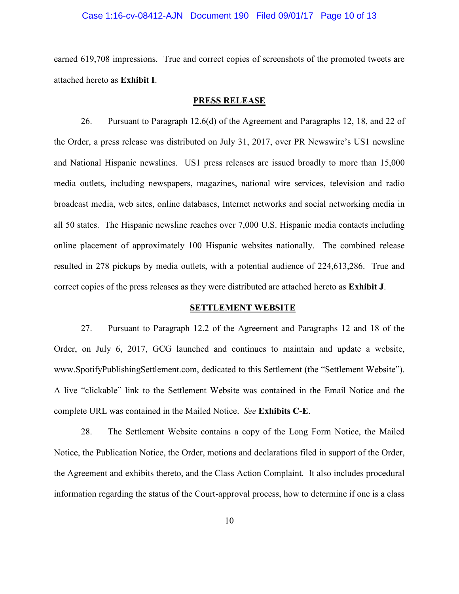### Case 1:16-cv-08412-AJN Document 190 Filed 09/01/17 Page 10 of 13

earned 619,708 impressions. True and correct copies of screenshots of the promoted tweets are attached hereto as **Exhibit I**.

#### **PRESS RELEASE**

26. Pursuant to Paragraph 12.6(d) of the Agreement and Paragraphs 12, 18, and 22 of the Order, a press release was distributed on July 31, 2017, over PR Newswire's US1 newsline and National Hispanic newslines. US1 press releases are issued broadly to more than 15,000 media outlets, including newspapers, magazines, national wire services, television and radio broadcast media, web sites, online databases, Internet networks and social networking media in all 50 states. The Hispanic newsline reaches over 7,000 U.S. Hispanic media contacts including online placement of approximately 100 Hispanic websites nationally. The combined release resulted in 278 pickups by media outlets, with a potential audience of 224,613,286. True and correct copies of the press releases as they were distributed are attached hereto as **Exhibit J**.

#### **SETTLEMENT WEBSITE**

27. Pursuant to Paragraph 12.2 of the Agreement and Paragraphs 12 and 18 of the Order, on July 6, 2017, GCG launched and continues to maintain and update a website, www.SpotifyPublishingSettlement.com, dedicated to this Settlement (the "Settlement Website"). A live "clickable" link to the Settlement Website was contained in the Email Notice and the complete URL was contained in the Mailed Notice. *See* **Exhibits C-E**.

28. The Settlement Website contains a copy of the Long Form Notice, the Mailed Notice, the Publication Notice, the Order, motions and declarations filed in support of the Order, the Agreement and exhibits thereto, and the Class Action Complaint. It also includes procedural information regarding the status of the Court-approval process, how to determine if one is a class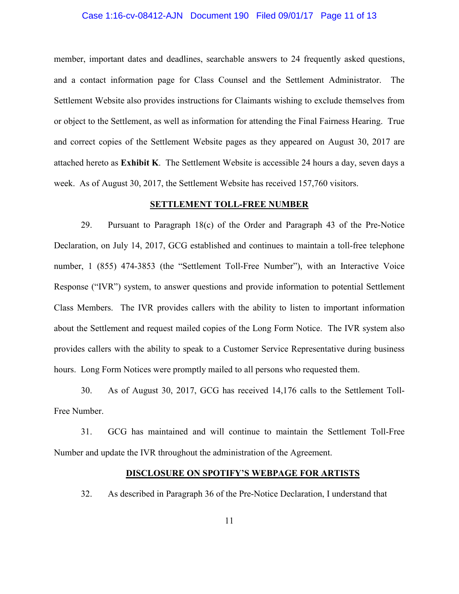### Case 1:16-cv-08412-AJN Document 190 Filed 09/01/17 Page 11 of 13

member, important dates and deadlines, searchable answers to 24 frequently asked questions, and a contact information page for Class Counsel and the Settlement Administrator. The Settlement Website also provides instructions for Claimants wishing to exclude themselves from or object to the Settlement, as well as information for attending the Final Fairness Hearing. True and correct copies of the Settlement Website pages as they appeared on August 30, 2017 are attached hereto as **Exhibit K**. The Settlement Website is accessible 24 hours a day, seven days a week. As of August 30, 2017, the Settlement Website has received 157,760 visitors.

#### **SETTLEMENT TOLL-FREE NUMBER**

29. Pursuant to Paragraph 18(c) of the Order and Paragraph 43 of the Pre-Notice Declaration, on July 14, 2017, GCG established and continues to maintain a toll-free telephone number, 1 (855) 474-3853 (the "Settlement Toll-Free Number"), with an Interactive Voice Response ("IVR") system, to answer questions and provide information to potential Settlement Class Members. The IVR provides callers with the ability to listen to important information about the Settlement and request mailed copies of the Long Form Notice. The IVR system also provides callers with the ability to speak to a Customer Service Representative during business hours. Long Form Notices were promptly mailed to all persons who requested them.

30. As of August 30, 2017, GCG has received 14,176 calls to the Settlement Toll-Free Number.

31. GCG has maintained and will continue to maintain the Settlement Toll-Free Number and update the IVR throughout the administration of the Agreement.

#### **DISCLOSURE ON SPOTIFY'S WEBPAGE FOR ARTISTS**

32. As described in Paragraph 36 of the Pre-Notice Declaration, I understand that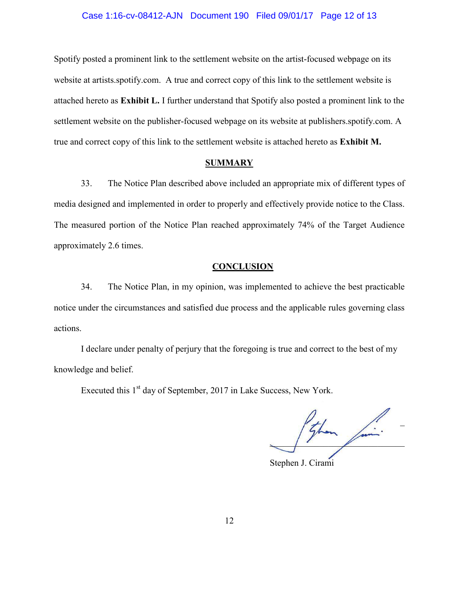#### Case 1:16-cv-08412-AJN Document 190 Filed 09/01/17 Page 12 of 13

Spotify posted a prominent link to the settlement website on the artist-focused webpage on its website at artists.spotify.com. A true and correct copy of this link to the settlement website is attached hereto as **Exhibit L.** I further understand that Spotify also posted a prominent link to the settlement website on the publisher-focused webpage on its website at publishers.spotify.com. A true and correct copy of this link to the settlement website is attached hereto as **Exhibit M.** 

### **SUMMARY**

33. The Notice Plan described above included an appropriate mix of different types of media designed and implemented in order to properly and effectively provide notice to the Class. The measured portion of the Notice Plan reached approximately 74% of the Target Audience approximately 2.6 times.

#### **CONCLUSION**

34. The Notice Plan, in my opinion, was implemented to achieve the best practicable notice under the circumstances and satisfied due process and the applicable rules governing class actions.

I declare under penalty of perjury that the foregoing is true and correct to the best of my knowledge and belief.

Executed this 1<sup>st</sup> day of September, 2017 in Lake Success, New York.

 $\overline{a}$  $\frac{1}{2}$  from  $\frac{1}{2}$  .

Stephen J. Cirami